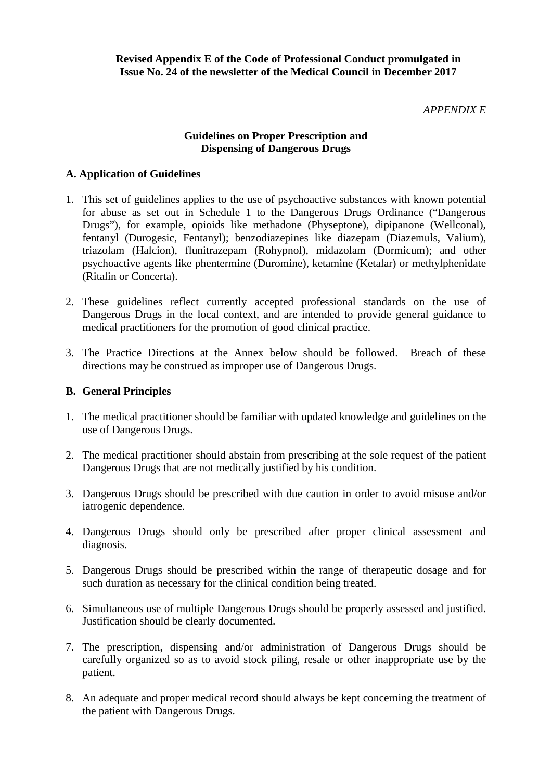### *APPENDIX E*

## **Guidelines on Proper Prescription and Dispensing of Dangerous Drugs**

# **A. Application of Guidelines**

- 1. This set of guidelines applies to the use of psychoactive substances with known potential for abuse as set out in Schedule 1 to the Dangerous Drugs Ordinance ("Dangerous Drugs"), for example, opioids like methadone (Physeptone), dipipanone (Wellconal), fentanyl (Durogesic, Fentanyl); benzodiazepines like diazepam (Diazemuls, Valium), triazolam (Halcion), flunitrazepam (Rohypnol), midazolam (Dormicum); and other psychoactive agents like phentermine (Duromine), ketamine (Ketalar) or methylphenidate (Ritalin or Concerta).
- 2. These guidelines reflect currently accepted professional standards on the use of Dangerous Drugs in the local context, and are intended to provide general guidance to medical practitioners for the promotion of good clinical practice.
- 3. The Practice Directions at the Annex below should be followed. Breach of these directions may be construed as improper use of Dangerous Drugs.

## **B. General Principles**

- 1. The medical practitioner should be familiar with updated knowledge and guidelines on the use of Dangerous Drugs.
- 2. The medical practitioner should abstain from prescribing at the sole request of the patient Dangerous Drugs that are not medically justified by his condition.
- 3. Dangerous Drugs should be prescribed with due caution in order to avoid misuse and/or iatrogenic dependence.
- 4. Dangerous Drugs should only be prescribed after proper clinical assessment and diagnosis.
- 5. Dangerous Drugs should be prescribed within the range of therapeutic dosage and for such duration as necessary for the clinical condition being treated.
- 6. Simultaneous use of multiple Dangerous Drugs should be properly assessed and justified. Justification should be clearly documented.
- 7. The prescription, dispensing and/or administration of Dangerous Drugs should be carefully organized so as to avoid stock piling, resale or other inappropriate use by the patient.
- 8. An adequate and proper medical record should always be kept concerning the treatment of the patient with Dangerous Drugs.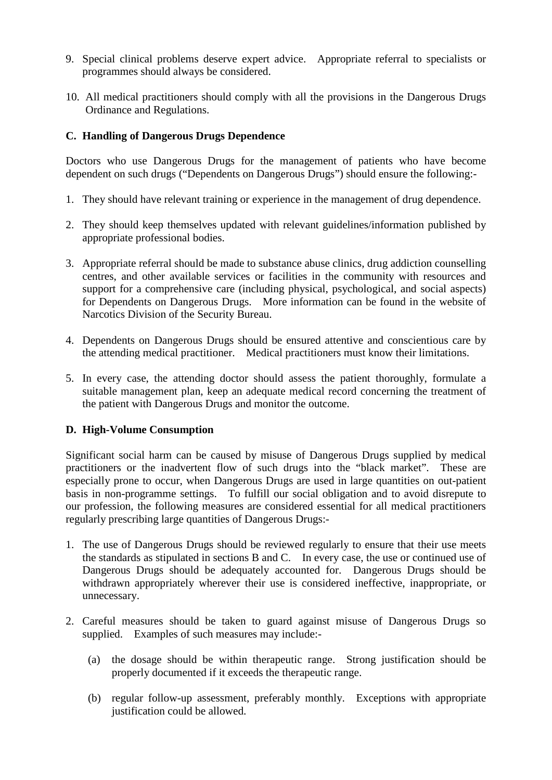- 9. Special clinical problems deserve expert advice. Appropriate referral to specialists or programmes should always be considered.
- 10. All medical practitioners should comply with all the provisions in the Dangerous Drugs Ordinance and Regulations.

# **C. Handling of Dangerous Drugs Dependence**

Doctors who use Dangerous Drugs for the management of patients who have become dependent on such drugs ("Dependents on Dangerous Drugs") should ensure the following:-

- 1. They should have relevant training or experience in the management of drug dependence.
- 2. They should keep themselves updated with relevant guidelines/information published by appropriate professional bodies.
- 3. Appropriate referral should be made to substance abuse clinics, drug addiction counselling centres, and other available services or facilities in the community with resources and support for a comprehensive care (including physical, psychological, and social aspects) for Dependents on Dangerous Drugs. More information can be found in the website of Narcotics Division of the Security Bureau.
- 4. Dependents on Dangerous Drugs should be ensured attentive and conscientious care by the attending medical practitioner. Medical practitioners must know their limitations.
- 5. In every case, the attending doctor should assess the patient thoroughly, formulate a suitable management plan, keep an adequate medical record concerning the treatment of the patient with Dangerous Drugs and monitor the outcome.

# **D. High-Volume Consumption**

Significant social harm can be caused by misuse of Dangerous Drugs supplied by medical practitioners or the inadvertent flow of such drugs into the "black market". These are especially prone to occur, when Dangerous Drugs are used in large quantities on out-patient basis in non-programme settings. To fulfill our social obligation and to avoid disrepute to our profession, the following measures are considered essential for all medical practitioners regularly prescribing large quantities of Dangerous Drugs:-

- 1. The use of Dangerous Drugs should be reviewed regularly to ensure that their use meets the standards as stipulated in sections B and C. In every case, the use or continued use of Dangerous Drugs should be adequately accounted for. Dangerous Drugs should be withdrawn appropriately wherever their use is considered ineffective, inappropriate, or unnecessary.
- 2. Careful measures should be taken to guard against misuse of Dangerous Drugs so supplied. Examples of such measures may include:-
	- (a) the dosage should be within therapeutic range. Strong justification should be properly documented if it exceeds the therapeutic range.
	- (b) regular follow-up assessment, preferably monthly. Exceptions with appropriate justification could be allowed.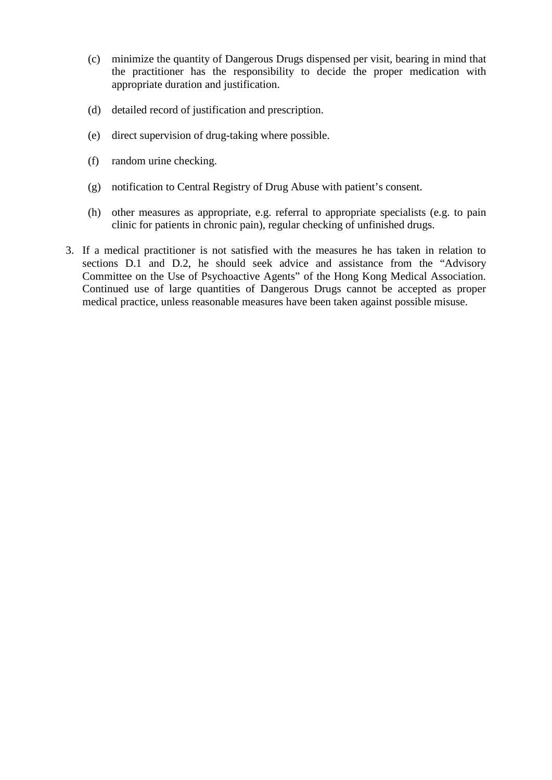- (c) minimize the quantity of Dangerous Drugs dispensed per visit, bearing in mind that the practitioner has the responsibility to decide the proper medication with appropriate duration and justification.
- (d) detailed record of justification and prescription.
- (e) direct supervision of drug-taking where possible.
- (f) random urine checking.
- (g) notification to Central Registry of Drug Abuse with patient's consent.
- (h) other measures as appropriate, e.g. referral to appropriate specialists (e.g. to pain clinic for patients in chronic pain), regular checking of unfinished drugs.
- 3. If a medical practitioner is not satisfied with the measures he has taken in relation to sections D.1 and D.2, he should seek advice and assistance from the "Advisory Committee on the Use of Psychoactive Agents" of the Hong Kong Medical Association. Continued use of large quantities of Dangerous Drugs cannot be accepted as proper medical practice, unless reasonable measures have been taken against possible misuse.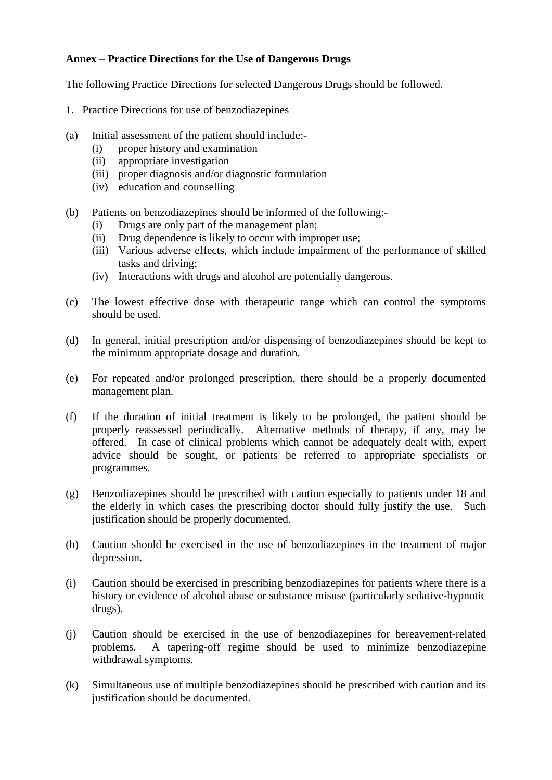# **Annex – Practice Directions for the Use of Dangerous Drugs**

The following Practice Directions for selected Dangerous Drugs should be followed.

- 1. Practice Directions for use of benzodiazepines
- (a) Initial assessment of the patient should include:-
	- (i) proper history and examination
	- (ii) appropriate investigation
	- (iii) proper diagnosis and/or diagnostic formulation
	- (iv) education and counselling
- (b) Patients on benzodiazepines should be informed of the following:-
	- (i) Drugs are only part of the management plan;
	- (ii) Drug dependence is likely to occur with improper use;
	- (iii) Various adverse effects, which include impairment of the performance of skilled tasks and driving;
	- (iv) Interactions with drugs and alcohol are potentially dangerous.
- (c) The lowest effective dose with therapeutic range which can control the symptoms should be used.
- (d) In general, initial prescription and/or dispensing of benzodiazepines should be kept to the minimum appropriate dosage and duration.
- (e) For repeated and/or prolonged prescription, there should be a properly documented management plan.
- (f) If the duration of initial treatment is likely to be prolonged, the patient should be properly reassessed periodically. Alternative methods of therapy, if any, may be offered. In case of clinical problems which cannot be adequately dealt with, expert advice should be sought, or patients be referred to appropriate specialists or programmes.
- (g) Benzodiazepines should be prescribed with caution especially to patients under 18 and the elderly in which cases the prescribing doctor should fully justify the use. Such justification should be properly documented.
- (h) Caution should be exercised in the use of benzodiazepines in the treatment of major depression.
- (i) Caution should be exercised in prescribing benzodiazepines for patients where there is a history or evidence of alcohol abuse or substance misuse (particularly sedative-hypnotic drugs).
- (j) Caution should be exercised in the use of benzodiazepines for bereavement-related problems. A tapering-off regime should be used to minimize benzodiazepine withdrawal symptoms.
- (k) Simultaneous use of multiple benzodiazepines should be prescribed with caution and its justification should be documented.